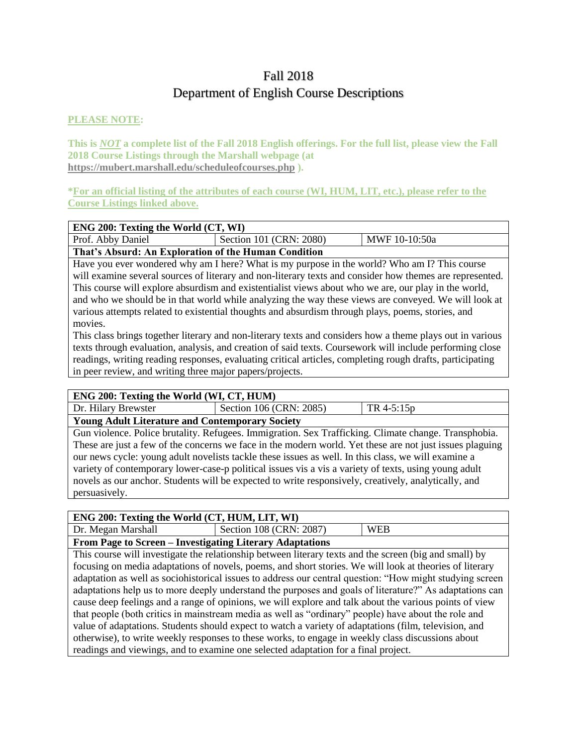# Fall 2018 Department of English Course Descriptions

## **PLEASE NOTE:**

**This is** *NOT* **a complete list of the Fall 2018 English offerings. For the full list, please view the Fall 2018 Course Listings through the Marshall webpage (at https://mubert.marshall.edu/scheduleofcourses.php ).**

**\*For an official listing of the attributes of each course (WI, HUM, LIT, etc.), please refer to the Course Listings linked above.**

| <b>ENG 200: Texting the World (CT, WI)</b>           |                         |               |  |  |
|------------------------------------------------------|-------------------------|---------------|--|--|
| <b>Prof. Abby Daniel</b>                             | Section 101 (CRN: 2080) | MWF 10-10:50a |  |  |
| That's Absurd: An Exploration of the Human Condition |                         |               |  |  |

Have you ever wondered why am I here? What is my purpose in the world? Who am I? This course will examine several sources of literary and non-literary texts and consider how themes are represented. This course will explore absurdism and existentialist views about who we are, our play in the world, and who we should be in that world while analyzing the way these views are conveyed. We will look at various attempts related to existential thoughts and absurdism through plays, poems, stories, and movies.

This class brings together literary and non-literary texts and considers how a theme plays out in various texts through evaluation, analysis, and creation of said texts. Coursework will include performing close readings, writing reading responses, evaluating critical articles, completing rough drafts, participating in peer review, and writing three major papers/projects.

| ENG 200: Texting the World (WI, CT, HUM)                                                                                                                          |                         |              |  |  |
|-------------------------------------------------------------------------------------------------------------------------------------------------------------------|-------------------------|--------------|--|--|
| Dr. Hilary Brewster                                                                                                                                               | Section 106 (CRN: 2085) | $TR 4-5:15p$ |  |  |
| <b>Young Adult Literature and Contemporary Society</b>                                                                                                            |                         |              |  |  |
| Gun violence. Police brutality. Refugees. Immigration. Sex Trafficking. Climate change. Transphobia.                                                              |                         |              |  |  |
| These are just a few of the concerns we face in the modern world. Yet these are not just issues plaguing                                                          |                         |              |  |  |
| our news cycle: young adult novelists tackle these issues as well. In this class, we will examine a                                                               |                         |              |  |  |
| $\ldots$ . The component of $\mathbf{1}$ and $\mathbf{1}$ are constituted to all the contracts of $\mathbf{2}$ and $\mathbf{3}$ and $\mathbf{4}$ and $\mathbf{5}$ |                         |              |  |  |

variety of contemporary lower-case-p political issues vis a vis a variety of texts, using young adult novels as our anchor. Students will be expected to write responsively, creatively, analytically, and persuasively.

| ENG 200: Texting the World (CT, HUM, LIT, WI) |  |  |  |  |
|-----------------------------------------------|--|--|--|--|
|                                               |  |  |  |  |

| <b>Evam Dogo to Cargon</b> |  | Investigating Literary Adaptations |            |  |
|----------------------------|--|------------------------------------|------------|--|
| Dr. Megan Marshall         |  | Section 108 (CRN: 2087)            | <b>WFP</b> |  |
|                            |  |                                    |            |  |

**From Page to Screen – Investigating Literary Adaptations** This course will investigate the relationship between literary texts and the screen (big and small) by

focusing on media adaptations of novels, poems, and short stories. We will look at theories of literary adaptation as well as sociohistorical issues to address our central question: "How might studying screen adaptations help us to more deeply understand the purposes and goals of literature?" As adaptations can cause deep feelings and a range of opinions, we will explore and talk about the various points of view that people (both critics in mainstream media as well as "ordinary" people) have about the role and value of adaptations. Students should expect to watch a variety of adaptations (film, television, and otherwise), to write weekly responses to these works, to engage in weekly class discussions about readings and viewings, and to examine one selected adaptation for a final project.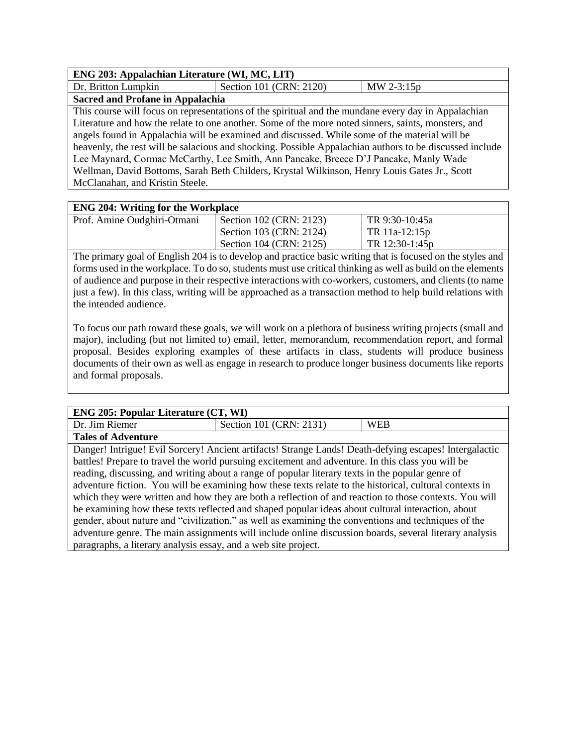| ENG 203: Appalachian Literature (WI, MC, LIT)                                                           |                                                                                                     |            |  |  |
|---------------------------------------------------------------------------------------------------------|-----------------------------------------------------------------------------------------------------|------------|--|--|
| Dr. Britton Lumpkin                                                                                     | Section 101 (CRN: 2120)                                                                             | MW 2-3:15p |  |  |
| <b>Sacred and Profane in Appalachia</b>                                                                 |                                                                                                     |            |  |  |
|                                                                                                         | This course will focus on representations of the spiritual and the mundane every day in Appalachian |            |  |  |
| Literature and how the relate to one another. Some of the more noted sinners, saints, monsters, and     |                                                                                                     |            |  |  |
| angels found in Appalachia will be examined and discussed. While some of the material will be           |                                                                                                     |            |  |  |
| heavenly, the rest will be salacious and shocking. Possible Appalachian authors to be discussed include |                                                                                                     |            |  |  |
| Lee Maynard, Cormac McCarthy, Lee Smith, Ann Pancake, Breece D'J Pancake, Manly Wade                    |                                                                                                     |            |  |  |
| Wellman, David Bottoms, Sarah Beth Childers, Krystal Wilkinson, Henry Louis Gates Jr., Scott            |                                                                                                     |            |  |  |
| McClanahan, and Kristin Steele.                                                                         |                                                                                                     |            |  |  |

## **ENG 204: Writing for the Workplace**

|                         | TR 9:30-10:45a                                                                     |
|-------------------------|------------------------------------------------------------------------------------|
| Section 103 (CRN: 2124) | TR 11a-12:15p                                                                      |
| Section 104 (CRN: 2125) | TR 12:30-1:45p                                                                     |
|                         | $1.10$ = $0.1$ , $1.11$ and $101$ and $1.01$ and $1.01$<br>Section 102 (CRN: 2123) |

The primary goal of English 204 is to develop and practice basic writing that is focused on the styles and forms used in the workplace. To do so, students must use critical thinking as well as build on the elements of audience and purpose in their respective interactions with co-workers, customers, and clients (to name just a few). In this class, writing will be approached as a transaction method to help build relations with the intended audience.

To focus our path toward these goals, we will work on a plethora of business writing projects (small and major), including (but not limited to) email, letter, memorandum, recommendation report, and formal proposal. Besides exploring examples of these artifacts in class, students will produce business documents of their own as well as engage in research to produce longer business documents like reports and formal proposals.

| <b>ENG 205: Popular Literature (CT, WI)</b>                                                             |                                                                                                        |            |  |  |
|---------------------------------------------------------------------------------------------------------|--------------------------------------------------------------------------------------------------------|------------|--|--|
| Dr. Jim Riemer                                                                                          | Section 101 (CRN: 2131)                                                                                | <b>WEB</b> |  |  |
| <b>Tales of Adventure</b>                                                                               |                                                                                                        |            |  |  |
|                                                                                                         | Danger! Intrigue! Evil Sorcery! Ancient artifacts! Strange Lands! Death-defying escapes! Intergalactic |            |  |  |
|                                                                                                         | battles! Prepare to travel the world pursuing excitement and adventure. In this class you will be      |            |  |  |
|                                                                                                         | reading, discussing, and writing about a range of popular literary texts in the popular genre of       |            |  |  |
| adventure fiction. You will be examining how these texts relate to the historical, cultural contexts in |                                                                                                        |            |  |  |
| which they were written and how they are both a reflection of and reaction to those contexts. You will  |                                                                                                        |            |  |  |
| be examining how these texts reflected and shaped popular ideas about cultural interaction, about       |                                                                                                        |            |  |  |
| gender, about nature and "civilization," as well as examining the conventions and techniques of the     |                                                                                                        |            |  |  |
| adventure genre. The main assignments will include online discussion boards, several literary analysis  |                                                                                                        |            |  |  |
| paragraphs, a literary analysis essay, and a web site project.                                          |                                                                                                        |            |  |  |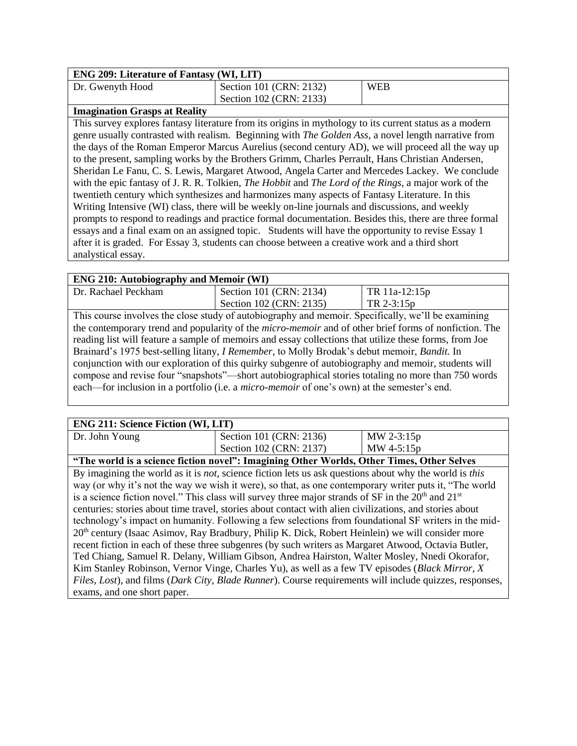| <b>ENG 209: Literature of Fantasy (WI, LIT)</b> |                         |            |  |
|-------------------------------------------------|-------------------------|------------|--|
| Dr. Gwenyth Hood                                | Section 101 (CRN: 2132) | <b>WEB</b> |  |
|                                                 | Section 102 (CRN: 2133) |            |  |

## **Imagination Grasps at Reality**

exams, and one short paper.

This survey explores fantasy literature from its origins in mythology to its current status as a modern genre usually contrasted with realism. Beginning with *The Golden Ass*, a novel length narrative from the days of the Roman Emperor Marcus Aurelius (second century AD), we will proceed all the way up to the present, sampling works by the Brothers Grimm, Charles Perrault, Hans Christian Andersen, Sheridan Le Fanu, C. S. Lewis, Margaret Atwood, Angela Carter and Mercedes Lackey. We conclude with the epic fantasy of J. R. R. Tolkien, *The Hobbit* and *The Lord of the Rings*, a major work of the twentieth century which synthesizes and harmonizes many aspects of Fantasy Literature. In this Writing Intensive (WI) class, there will be weekly on-line journals and discussions, and weekly prompts to respond to readings and practice formal documentation. Besides this, there are three formal essays and a final exam on an assigned topic. Students will have the opportunity to revise Essay 1 after it is graded. For Essay 3, students can choose between a creative work and a third short analystical essay.

| <b>ENG 210: Autobiography and Memoir (WI)</b>                                                               |                                                                                                              |               |  |  |
|-------------------------------------------------------------------------------------------------------------|--------------------------------------------------------------------------------------------------------------|---------------|--|--|
| Dr. Rachael Peckham                                                                                         | Section 101 (CRN: 2134)                                                                                      | TR 11a-12:15p |  |  |
|                                                                                                             | Section 102 (CRN: 2135)                                                                                      | TR 2-3:15p    |  |  |
|                                                                                                             | This course involves the close study of autobiography and memoir. Specifically, we'll be examining           |               |  |  |
|                                                                                                             | the contemporary trend and popularity of the <i>micro-memoir</i> and of other brief forms of nonfiction. The |               |  |  |
| reading list will feature a sample of memoirs and essay collections that utilize these forms, from Joe      |                                                                                                              |               |  |  |
| Brainard's 1975 best-selling litany, <i>I Remember</i> , to Molly Brodak's debut memoir, <i>Bandit</i> . In |                                                                                                              |               |  |  |
| conjunction with our exploration of this quirky subgenre of autobiography and memoir, students will         |                                                                                                              |               |  |  |
| compose and revise four "snapshots"—short autobiographical stories totaling no more than 750 words          |                                                                                                              |               |  |  |
|                                                                                                             | each—for inclusion in a portfolio (i.e. a <i>micro-memoir</i> of one's own) at the semester's end.           |               |  |  |

| <b>ENG 211: Science Fiction (WI, LIT)</b>                                                                                  |                                                                                                                       |            |  |
|----------------------------------------------------------------------------------------------------------------------------|-----------------------------------------------------------------------------------------------------------------------|------------|--|
| Dr. John Young                                                                                                             | Section 101 (CRN: 2136)                                                                                               | MW 2-3:15p |  |
|                                                                                                                            | Section 102 (CRN: 2137)                                                                                               | MW 4-5:15p |  |
|                                                                                                                            | "The world is a science fiction novel": Imagining Other Worlds, Other Times, Other Selves                             |            |  |
|                                                                                                                            | By imagining the world as it is <i>not</i> , science fiction lets us ask questions about why the world is <i>this</i> |            |  |
| way (or why it's not the way we wish it were), so that, as one contemporary writer puts it, "The world                     |                                                                                                                       |            |  |
| is a science fiction novel." This class will survey three major strands of SF in the 20 <sup>th</sup> and 21 <sup>st</sup> |                                                                                                                       |            |  |
| centuries: stories about time travel, stories about contact with alien civilizations, and stories about                    |                                                                                                                       |            |  |
| technology's impact on humanity. Following a few selections from foundational SF writers in the mid-                       |                                                                                                                       |            |  |
| $20th$ century (Isaac Asimov, Ray Bradbury, Philip K. Dick, Robert Heinlein) we will consider more                         |                                                                                                                       |            |  |
| recent fiction in each of these three subgenres (by such writers as Margaret Atwood, Octavia Butler,                       |                                                                                                                       |            |  |
|                                                                                                                            | Ted Chiang, Samuel R. Delany, William Gibson, Andrea Hairston, Walter Mosley, Nnedi Okorafor,                         |            |  |
|                                                                                                                            | Kim Stanley Robinson, Vernor Vinge, Charles Yu), as well as a few TV episodes ( <i>Black Mirror</i> , X               |            |  |

*Files*, *Lost*), and films (*Dark City*, *Blade Runner*). Course requirements will include quizzes, responses,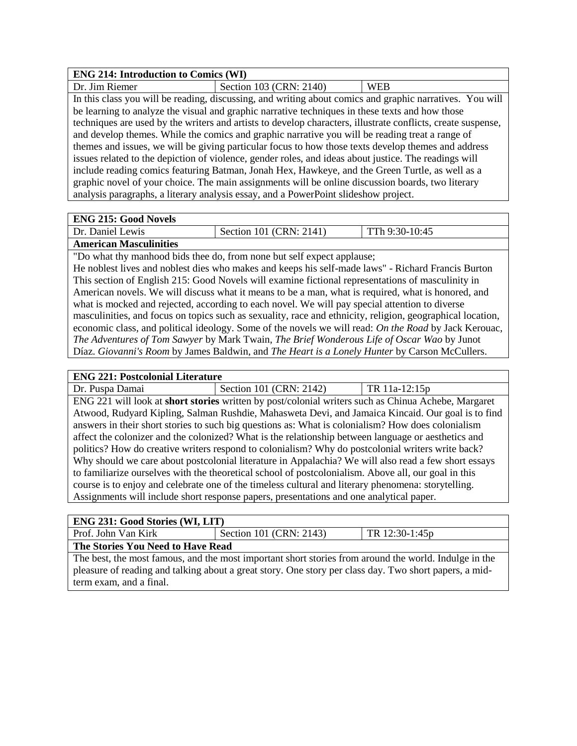| <b>ENG 214: Introduction to Comics (WI)</b>                                                         |                                                                                                              |            |  |
|-----------------------------------------------------------------------------------------------------|--------------------------------------------------------------------------------------------------------------|------------|--|
| Dr. Jim Riemer                                                                                      | Section 103 (CRN: 2140)                                                                                      | <b>WEB</b> |  |
|                                                                                                     | In this class you will be reading, discussing, and writing about comics and graphic narratives. You will     |            |  |
|                                                                                                     | be learning to analyze the visual and graphic narrative techniques in these texts and how those              |            |  |
|                                                                                                     | techniques are used by the writers and artists to develop characters, illustrate conflicts, create suspense, |            |  |
| and develop themes. While the comics and graphic narrative you will be reading treat a range of     |                                                                                                              |            |  |
| themes and issues, we will be giving particular focus to how those texts develop themes and address |                                                                                                              |            |  |
|                                                                                                     | issues related to the depiction of violence, gender roles, and ideas about justice. The readings will        |            |  |
|                                                                                                     | include reading comics featuring Batman, Jonah Hex, Hawkeye, and the Green Turtle, as well as a              |            |  |
|                                                                                                     | graphic novel of your choice. The main assignments will be online discussion boards, two literary            |            |  |
|                                                                                                     | analysis paragraphs, a literary analysis essay, and a PowerPoint slideshow project.                          |            |  |

#### **ENG 215: Good Novels**

| Dr. Daniel Lewis | Section 101 (CRN: 2141) | TTh 9:30-10:45 |
|------------------|-------------------------|----------------|
|                  |                         |                |

#### **American Masculinities**

"Do what thy manhood bids thee do, from none but self expect applause;

He noblest lives and noblest dies who makes and keeps his self-made laws" - Richard Francis Burton This section of English 215: Good Novels will examine fictional representations of masculinity in American novels. We will discuss what it means to be a man, what is required, what is honored, and what is mocked and rejected, according to each novel. We will pay special attention to diverse masculinities, and focus on topics such as sexuality, race and ethnicity, religion, geographical location, economic class, and political ideology. Some of the novels we will read: *On the Road* by Jack Kerouac, *The Adventures of Tom Sawyer* by Mark Twain, *The Brief Wonderous Life of Oscar Wao* by Junot Díaz. *Giovanni's Room* by James Baldwin, and *The Heart is a Lonely Hunter* by Carson McCullers.

#### **ENG 221: Postcolonial Literature**

Dr. Puspa Damai Section 101 (CRN: 2142) TR 11a-12:15p ENG 221 will look at **short stories** written by post/colonial writers such as Chinua Achebe, Margaret Atwood, Rudyard Kipling, Salman Rushdie, Mahasweta Devi, and Jamaica Kincaid. Our goal is to find answers in their short stories to such big questions as: What is colonialism? How does colonialism affect the colonizer and the colonized? What is the relationship between language or aesthetics and politics? How do creative writers respond to colonialism? Why do postcolonial writers write back? Why should we care about postcolonial literature in Appalachia? We will also read a few short essays to familiarize ourselves with the theoretical school of postcolonialism. Above all, our goal in this course is to enjoy and celebrate one of the timeless cultural and literary phenomena: storytelling. Assignments will include short response papers, presentations and one analytical paper.

| <b>ENG 231: Good Stories (WI, LIT)</b>                                                                 |                         |                |
|--------------------------------------------------------------------------------------------------------|-------------------------|----------------|
| Prof. John Van Kirk                                                                                    | Section 101 (CRN: 2143) | TR 12:30-1:45p |
| The Stories You Need to Have Read                                                                      |                         |                |
| The best, the most famous, and the most important short stories from around the world. Indulge in the  |                         |                |
| pleasure of reading and talking about a great story. One story per class day. Two short papers, a mid- |                         |                |
| term exam, and a final.                                                                                |                         |                |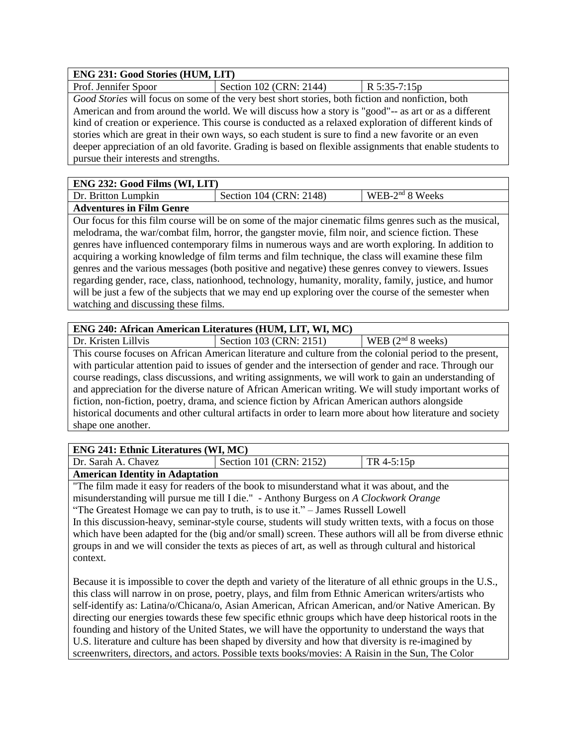# **ENG 231: Good Stories (HUM, LIT)**

Prof. Jennifer Spoor | Section 102 (CRN: 2144) | R 5:35-7:15p *Good Stories* will focus on some of the very best short stories, both fiction and nonfiction, both American and from around the world. We will discuss how a story is "good"-- as art or as a different kind of creation or experience. This course is conducted as a relaxed exploration of different kinds of stories which are great in their own ways, so each student is sure to find a new favorite or an even deeper appreciation of an old favorite. Grading is based on flexible assignments that enable students to pursue their interests and strengths.

## **ENG 232: Good Films (WI, LIT)**

 $Dr.$  Britton Lumpkin Section 104 (CRN: 2148) WEB-2<sup>nd</sup> 8 Weeks

### **Adventures in Film Genre**

Our focus for this film course will be on some of the major cinematic films genres such as the musical, melodrama, the war/combat film, horror, the gangster movie, film noir, and science fiction. These genres have influenced contemporary films in numerous ways and are worth exploring. In addition to acquiring a working knowledge of film terms and film technique, the class will examine these film genres and the various messages (both positive and negative) these genres convey to viewers. Issues regarding gender, race, class, nationhood, technology, humanity, morality, family, justice, and humor will be just a few of the subjects that we may end up exploring over the course of the semester when watching and discussing these films.

## **ENG 240: African American Literatures (HUM, LIT, WI, MC)**

Dr. Kristen Lillvis | Section 103 (CRN: 2151) | WEB  $(2<sup>nd</sup> 8$  weeks) This course focuses on African American literature and culture from the colonial period to the present, with particular attention paid to issues of gender and the intersection of gender and race. Through our course readings, class discussions, and writing assignments, we will work to gain an understanding of and appreciation for the diverse nature of African American writing. We will study important works of fiction, non-fiction, poetry, drama, and science fiction by African American authors alongside historical documents and other cultural artifacts in order to learn more about how literature and society shape one another.

#### **ENG 241: Ethnic Literatures (WI, MC)**

Dr. Sarah A. Chavez Section 101 (CRN: 2152) TR 4-5:15p

## **American Identity in Adaptation**

"The film made it easy for readers of the book to misunderstand what it was about, and the misunderstanding will pursue me till I die." - Anthony Burgess on *A Clockwork Orange* "The Greatest Homage we can pay to truth, is to use it." – James Russell Lowell

In this discussion-heavy, seminar-style course, students will study written texts, with a focus on those which have been adapted for the (big and/or small) screen. These authors will all be from diverse ethnic groups in and we will consider the texts as pieces of art, as well as through cultural and historical context.

Because it is impossible to cover the depth and variety of the literature of all ethnic groups in the U.S., this class will narrow in on prose, poetry, plays, and film from Ethnic American writers/artists who self-identify as: Latina/o/Chicana/o, Asian American, African American, and/or Native American. By directing our energies towards these few specific ethnic groups which have deep historical roots in the founding and history of the United States, we will have the opportunity to understand the ways that U.S. literature and culture has been shaped by diversity and how that diversity is re-imagined by screenwriters, directors, and actors. Possible texts books/movies: A Raisin in the Sun, The Color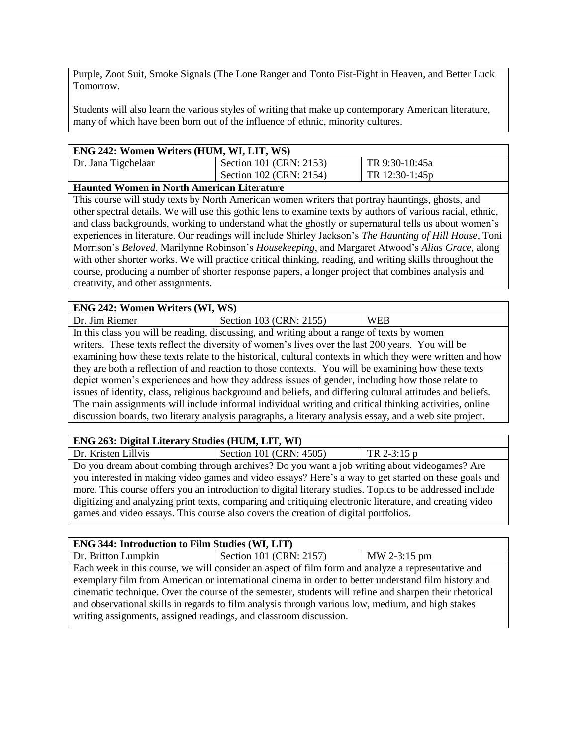Purple, Zoot Suit, Smoke Signals (The Lone Ranger and Tonto Fist-Fight in Heaven, and Better Luck Tomorrow.

Students will also learn the various styles of writing that make up contemporary American literature, many of which have been born out of the influence of ethnic, minority cultures.

# **ENG 242: Women Writers (HUM, WI, LIT, WS)**

| Section 102 (CRN: 2154)<br>$TR 12:30-1:45p$ | Dr. Jana Tigchelaar | Section 101 (CRN: 2153) | $T$ R 9:30-10:45a |
|---------------------------------------------|---------------------|-------------------------|-------------------|
|                                             |                     |                         |                   |

#### **Haunted Women in North American Literature**

This course will study texts by North American women writers that portray hauntings, ghosts, and other spectral details. We will use this gothic lens to examine texts by authors of various racial, ethnic, and class backgrounds, working to understand what the ghostly or supernatural tells us about women's experiences in literature. Our readings will include Shirley Jackson's *The Haunting of Hill House*, Toni Morrison's *Beloved*, Marilynne Robinson's *Housekeeping*, and Margaret Atwood's *Alias Grace*, along with other shorter works. We will practice critical thinking, reading, and writing skills throughout the course, producing a number of shorter response papers, a longer project that combines analysis and creativity, and other assignments.

| ENG 242: Women Writers (WI, WS) |                         |            |
|---------------------------------|-------------------------|------------|
| Dr. Jim Riemer                  | Section 103 (CRN: 2155) | <b>WEB</b> |

In this class you will be reading, discussing, and writing about a range of texts by women writers. These texts reflect the diversity of women's lives over the last 200 years. You will be examining how these texts relate to the historical, cultural contexts in which they were written and how they are both a reflection of and reaction to those contexts. You will be examining how these texts depict women's experiences and how they address issues of gender, including how those relate to issues of identity, class, religious background and beliefs, and differing cultural attitudes and beliefs. The main assignments will include informal individual writing and critical thinking activities, online discussion boards, two literary analysis paragraphs, a literary analysis essay, and a web site project.

#### **ENG 263: Digital Literary Studies (HUM, LIT, WI)**

Dr. Kristen Lillvis Section 101 (CRN:  $4505$ ) TR 2-3:15 p Do you dream about combing through archives? Do you want a job writing about videogames? Are you interested in making video games and video essays? Here's a way to get started on these goals and more. This course offers you an introduction to digital literary studies. Topics to be addressed include digitizing and analyzing print texts, comparing and critiquing electronic literature, and creating video games and video essays. This course also covers the creation of digital portfolios.

#### **ENG 344: Introduction to Film Studies (WI, LIT)**

Dr. Britton Lumpkin Section 101 (CRN: 2157) MW 2-3:15 pm

Each week in this course, we will consider an aspect of film form and analyze a representative and exemplary film from American or international cinema in order to better understand film history and cinematic technique. Over the course of the semester, students will refine and sharpen their rhetorical and observational skills in regards to film analysis through various low, medium, and high stakes writing assignments, assigned readings, and classroom discussion.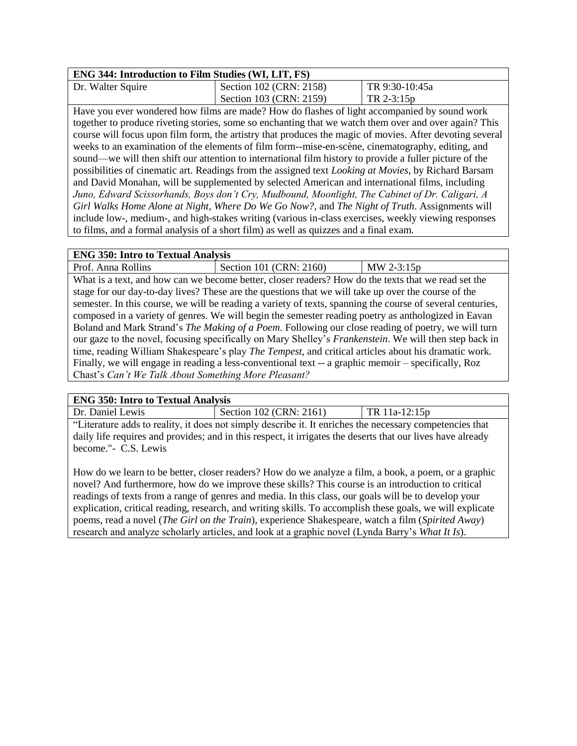| <b>ENG 344: Introduction to Film Studies (WI, LIT, FS)</b> |                         |                |
|------------------------------------------------------------|-------------------------|----------------|
| Dr. Walter Squire                                          | Section 102 (CRN: 2158) | TR 9:30-10:45a |
|                                                            | Section 103 (CRN: 2159) | $TR 2-3:15p$   |

Have you ever wondered how films are made? How do flashes of light accompanied by sound work together to produce riveting stories, some so enchanting that we watch them over and over again? This course will focus upon film form, the artistry that produces the magic of movies. After devoting several weeks to an examination of the elements of film form--mise-en-scène, cinematography, editing, and sound—we will then shift our attention to international film history to provide a fuller picture of the possibilities of cinematic art. Readings from the assigned text *Looking at Movies*, by Richard Barsam and David Monahan, will be supplemented by selected American and international films, including *Juno, Edward Scissorhands, Boys don't Cry, Mudbound, Moonlight, The Cabinet of Dr. Caligari, A Girl Walks Home Alone at Night, Where Do We Go Now?*, and *The Night of Truth*. Assignments will include low-, medium-, and high-stakes writing (various in-class exercises, weekly viewing responses to films, and a formal analysis of a short film) as well as quizzes and a final exam.

#### **ENG 350: Intro to Textual Analysis**

Prof. Anna Rollins Section 101 (CRN: 2160) MW 2-3:15p What is a text, and how can we become better, closer readers? How do the texts that we read set the stage for our day-to-day lives? These are the questions that we will take up over the course of the semester. In this course, we will be reading a variety of texts, spanning the course of several centuries, composed in a variety of genres. We will begin the semester reading poetry as anthologized in Eavan Boland and Mark Strand's *The Making of a Poem*. Following our close reading of poetry, we will turn our gaze to the novel, focusing specifically on Mary Shelley's *Frankenstein*. We will then step back in time, reading William Shakespeare's play *The Tempest*, and critical articles about his dramatic work. Finally, we will engage in reading a less-conventional text -- a graphic memoir – specifically, Roz Chast's *Can't We Talk About Something More Pleasant?*

#### **ENG 350: Intro to Textual Analysis**

Dr. Daniel Lewis Section 102 (CRN: 2161) TR 11a-12:15p "Literature adds to reality, it does not simply describe it. It enriches the necessary competencies that daily life requires and provides; and in this respect, it irrigates the deserts that our lives have already become."- C.S. Lewis

How do we learn to be better, closer readers? How do we analyze a film, a book, a poem, or a graphic novel? And furthermore, how do we improve these skills? This course is an introduction to critical readings of texts from a range of genres and media. In this class, our goals will be to develop your explication, critical reading, research, and writing skills. To accomplish these goals, we will explicate poems, read a novel (*The Girl on the Train*), experience Shakespeare, watch a film (*Spirited Away*) research and analyze scholarly articles, and look at a graphic novel (Lynda Barry's *What It Is*).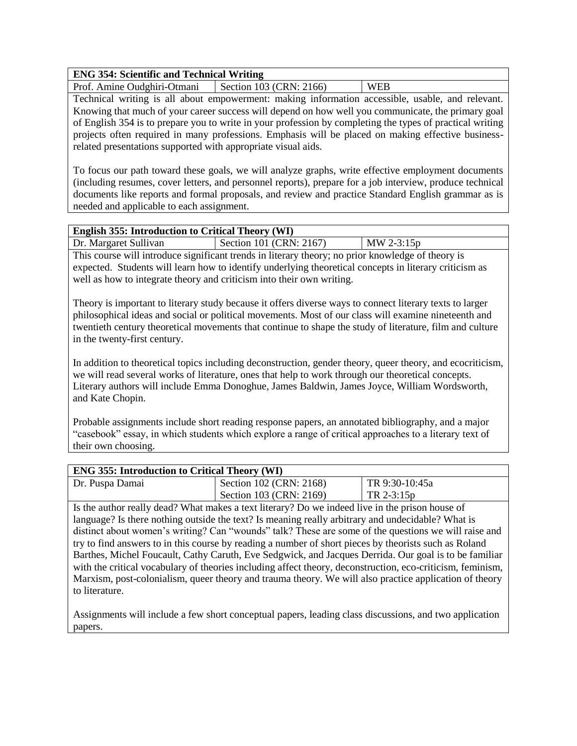### **ENG 354: Scientific and Technical Writing**

Prof. Amine Oudghiri-Otmani | Section 103 (CRN: 2166) | WEB

Technical writing is all about empowerment: making information accessible, usable, and relevant. Knowing that much of your career success will depend on how well you communicate, the primary goal of English 354 is to prepare you to write in your profession by completing the types of practical writing projects often required in many professions. Emphasis will be placed on making effective businessrelated presentations supported with appropriate visual aids.

To focus our path toward these goals, we will analyze graphs, write effective employment documents (including resumes, cover letters, and personnel reports), prepare for a job interview, produce technical documents like reports and formal proposals, and review and practice Standard English grammar as is needed and applicable to each assignment.

#### **English 355: Introduction to Critical Theory (WI)**

Dr. Margaret Sullivan | Section 101 (CRN: 2167) | MW 2-3:15p

This course will introduce significant trends in literary theory; no prior knowledge of theory is expected. Students will learn how to identify underlying theoretical concepts in literary criticism as well as how to integrate theory and criticism into their own writing.

Theory is important to literary study because it offers diverse ways to connect literary texts to larger philosophical ideas and social or political movements. Most of our class will examine nineteenth and twentieth century theoretical movements that continue to shape the study of literature, film and culture in the twenty-first century.

In addition to theoretical topics including deconstruction, gender theory, queer theory, and ecocriticism, we will read several works of literature, ones that help to work through our theoretical concepts. Literary authors will include Emma Donoghue, James Baldwin, James Joyce, William Wordsworth, and Kate Chopin.

Probable assignments include short reading response papers, an annotated bibliography, and a major "casebook" essay, in which students which explore a range of critical approaches to a literary text of their own choosing.

| <b>ENG 355: Introduction to Critical Theory (WI)</b> |                         |                |
|------------------------------------------------------|-------------------------|----------------|
| Dr. Puspa Damai                                      | Section 102 (CRN: 2168) | TR 9:30-10:45a |
|                                                      | Section 103 (CRN: 2169) | $TR 2-3:15p$   |

Is the author really dead? What makes a text literary? Do we indeed live in the prison house of language? Is there nothing outside the text? Is meaning really arbitrary and undecidable? What is distinct about women's writing? Can "wounds" talk? These are some of the questions we will raise and try to find answers to in this course by reading a number of short pieces by theorists such as Roland Barthes, Michel Foucault, Cathy Caruth, Eve Sedgwick, and Jacques Derrida. Our goal is to be familiar with the critical vocabulary of theories including affect theory, deconstruction, eco-criticism, feminism, Marxism, post-colonialism, queer theory and trauma theory. We will also practice application of theory to literature.

Assignments will include a few short conceptual papers, leading class discussions, and two application papers.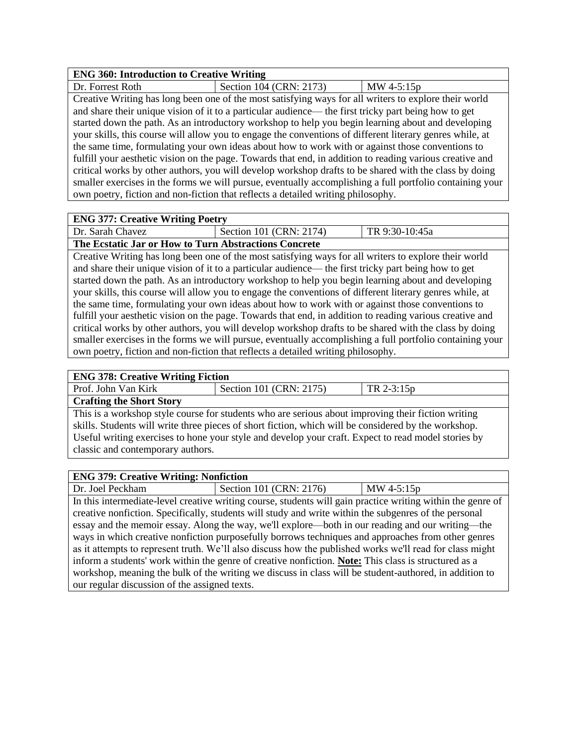#### **ENG 360: Introduction to Creative Writing**

Dr. Forrest Roth Section 104 (CRN: 2173) MW 4-5:15p Creative Writing has long been one of the most satisfying ways for all writers to explore their world and share their unique vision of it to a particular audience— the first tricky part being how to get started down the path. As an introductory workshop to help you begin learning about and developing your skills, this course will allow you to engage the conventions of different literary genres while, at the same time, formulating your own ideas about how to work with or against those conventions to fulfill your aesthetic vision on the page. Towards that end, in addition to reading various creative and critical works by other authors, you will develop workshop drafts to be shared with the class by doing smaller exercises in the forms we will pursue, eventually accomplishing a full portfolio containing your own poetry, fiction and non-fiction that reflects a detailed writing philosophy.

## **ENG 377: Creative Writing Poetry**

 $Dr. Sarah Chavez$  Section 101 (CRN: 2174) TR 9:30-10:45a **The Ecstatic Jar or How to Turn Abstractions Concrete**

Creative Writing has long been one of the most satisfying ways for all writers to explore their world and share their unique vision of it to a particular audience— the first tricky part being how to get started down the path. As an introductory workshop to help you begin learning about and developing your skills, this course will allow you to engage the conventions of different literary genres while, at the same time, formulating your own ideas about how to work with or against those conventions to fulfill your aesthetic vision on the page. Towards that end, in addition to reading various creative and critical works by other authors, you will develop workshop drafts to be shared with the class by doing smaller exercises in the forms we will pursue, eventually accomplishing a full portfolio containing your own poetry, fiction and non-fiction that reflects a detailed writing philosophy.

### **ENG 378: Creative Writing Fiction**

| <b>ETTO: Creative Willing Fiction</b>                                                                |                                                                                                    |              |
|------------------------------------------------------------------------------------------------------|----------------------------------------------------------------------------------------------------|--------------|
| Prof. John Van Kirk                                                                                  | Section 101 (CRN: 2175)                                                                            | $TR 2-3:15p$ |
| <b>Crafting the Short Story</b>                                                                      |                                                                                                    |              |
|                                                                                                      | This is a workshop style course for students who are serious about improving their fiction writing |              |
| skills. Students will write three pieces of short fiction, which will be considered by the workshop. |                                                                                                    |              |
| Useful writing exercises to hone your style and develop your craft. Expect to read model stories by  |                                                                                                    |              |
| classic and contemporary authors.                                                                    |                                                                                                    |              |

### **ENG 379: Creative Writing: Nonfiction**

Dr. Joel Peckham Section 101 (CRN: 2176) MW 4-5:15p In this intermediate-level creative writing course, students will gain practice writing within the genre of creative nonfiction. Specifically, students will study and write within the subgenres of the personal essay and the memoir essay. Along the way, we'll explore—both in our reading and our writing—the ways in which creative nonfiction purposefully borrows techniques and approaches from other genres as it attempts to represent truth. We'll also discuss how the published works we'll read for class might inform a students' work within the genre of creative nonfiction. **Note:** This class is structured as a workshop, meaning the bulk of the writing we discuss in class will be student-authored, in addition to our regular discussion of the assigned texts.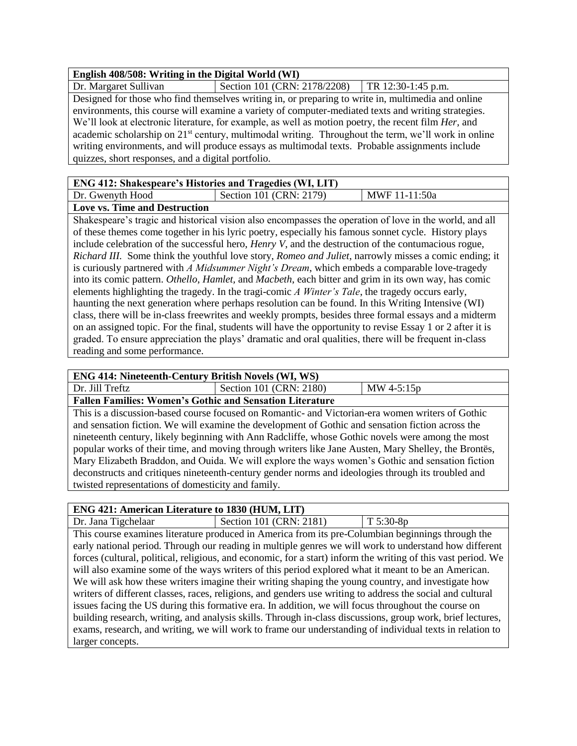#### **English 408/508: Writing in the Digital World (WI)**

Dr. Margaret Sullivan Section 101 (CRN: 2178/2208) TR 12:30-1:45 p.m. Designed for those who find themselves writing in, or preparing to write in, multimedia and online environments, this course will examine a variety of computer-mediated texts and writing strategies. We'll look at electronic literature, for example, as well as motion poetry, the recent film *Her,* and academic scholarship on 21<sup>st</sup> century, multimodal writing. Throughout the term, we'll work in online writing environments, and will produce essays as multimodal texts. Probable assignments include quizzes, short responses, and a digital portfolio.

| <b>ENG 412: Shakespeare's Histories and Tragedies (WI, LIT)</b> |                         |               |
|-----------------------------------------------------------------|-------------------------|---------------|
| Dr. Gwenyth Hood                                                | Section 101 (CRN: 2179) | MWF 11-11:50a |
| $\sim$                                                          |                         |               |

#### **Love vs. Time and Destruction**

Shakespeare's tragic and historical vision also encompasses the operation of love in the world, and all of these themes come together in his lyric poetry, especially his famous sonnet cycle. History plays include celebration of the successful hero, *Henry V*, and the destruction of the contumacious rogue, *Richard III.* Some think the youthful love story, *Romeo and Juliet*, narrowly misses a comic ending; it is curiously partnered with *A Midsummer Night's Dream*, which embeds a comparable love-tragedy into its comic pattern. *Othello*, *Hamlet,* and *Macbeth*, each bitter and grim in its own way, has comic elements highlighting the tragedy. In the tragi-comic *A Winter's Tale*, the tragedy occurs early, haunting the next generation where perhaps resolution can be found. In this Writing Intensive (WI) class, there will be in-class freewrites and weekly prompts, besides three formal essays and a midterm on an assigned topic. For the final, students will have the opportunity to revise Essay 1 or 2 after it is graded. To ensure appreciation the plays' dramatic and oral qualities, there will be frequent in-class reading and some performance.

#### **ENG 414: Nineteenth-Century British Novels (WI, WS)**

Dr. Jill Treftz  $\vert$  Section 101 (CRN: 2180) MW 4-5:15p **Fallen Families: Women's Gothic and Sensation Literature**

This is a discussion-based course focused on Romantic- and Victorian-era women writers of Gothic and sensation fiction. We will examine the development of Gothic and sensation fiction across the nineteenth century, likely beginning with Ann Radcliffe, whose Gothic novels were among the most popular works of their time, and moving through writers like Jane Austen, Mary Shelley, the Brontës, Mary Elizabeth Braddon, and Ouida. We will explore the ways women's Gothic and sensation fiction deconstructs and critiques nineteenth-century gender norms and ideologies through its troubled and twisted representations of domesticity and family.

#### **ENG 421: American Literature to 1830 (HUM, LIT)**

Dr. Jana Tigchelaar Section 101 (CRN: 2181)  $\boxed{7\ 5:30-8p}$ This course examines literature produced in America from its pre-Columbian beginnings through the early national period. Through our reading in multiple genres we will work to understand how different forces (cultural, political, religious, and economic, for a start) inform the writing of this vast period. We will also examine some of the ways writers of this period explored what it meant to be an American. We will ask how these writers imagine their writing shaping the young country, and investigate how writers of different classes, races, religions, and genders use writing to address the social and cultural issues facing the US during this formative era. In addition, we will focus throughout the course on building research, writing, and analysis skills. Through in-class discussions, group work, brief lectures, exams, research, and writing, we will work to frame our understanding of individual texts in relation to larger concepts.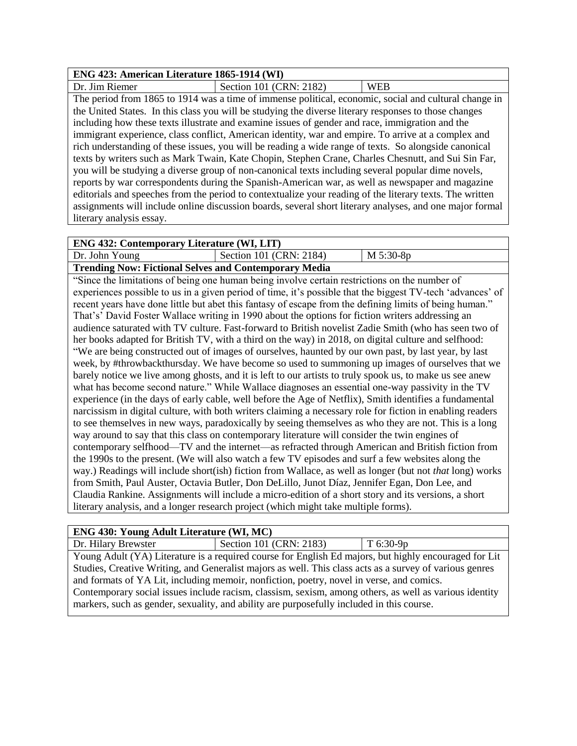| ENG 423: American Literature 1865-1914 (WI) |  |
|---------------------------------------------|--|
|                                             |  |

Dr. Jim Riemer  $|\text{Section 101 (CRN: 2182)}|\text{WEB}|$ The period from 1865 to 1914 was a time of immense political, economic, social and cultural change in the United States. In this class you will be studying the diverse literary responses to those changes including how these texts illustrate and examine issues of gender and race, immigration and the immigrant experience, class conflict, American identity, war and empire. To arrive at a complex and rich understanding of these issues, you will be reading a wide range of texts. So alongside canonical texts by writers such as Mark Twain, Kate Chopin, Stephen Crane, Charles Chesnutt, and Sui Sin Far, you will be studying a diverse group of non-canonical texts including several popular dime novels, reports by war correspondents during the Spanish-American war, as well as newspaper and magazine editorials and speeches from the period to contextualize your reading of the literary texts. The written assignments will include online discussion boards, several short literary analyses, and one major formal literary analysis essay.

## **ENG 432: Contemporary Literature (WI, LIT)**

Dr. John Young Section 101 (CRN: 2184) M 5:30-8p

## **Trending Now: Fictional Selves and Contemporary Media**

"Since the limitations of being one human being involve certain restrictions on the number of experiences possible to us in a given period of time, it's possible that the biggest TV-tech 'advances' of recent years have done little but abet this fantasy of escape from the defining limits of being human." That's' David Foster Wallace writing in 1990 about the options for fiction writers addressing an audience saturated with TV culture. Fast-forward to British novelist Zadie Smith (who has seen two of her books adapted for British TV, with a third on the way) in 2018, on digital culture and selfhood: "We are being constructed out of images of ourselves, haunted by our own past, by last year, by last week, by #throwbackthursday. We have become so used to summoning up images of ourselves that we barely notice we live among ghosts, and it is left to our artists to truly spook us, to make us see anew what has become second nature." While Wallace diagnoses an essential one-way passivity in the TV experience (in the days of early cable, well before the Age of Netflix), Smith identifies a fundamental narcissism in digital culture, with both writers claiming a necessary role for fiction in enabling readers to see themselves in new ways, paradoxically by seeing themselves as who they are not. This is a long way around to say that this class on contemporary literature will consider the twin engines of contemporary selfhood—TV and the internet—as refracted through American and British fiction from the 1990s to the present. (We will also watch a few TV episodes and surf a few websites along the way.) Readings will include short(ish) fiction from Wallace, as well as longer (but not *that* long) works from Smith, Paul Auster, Octavia Butler, Don DeLillo, Junot Díaz, Jennifer Egan, Don Lee, and Claudia Rankine. Assignments will include a micro-edition of a short story and its versions, a short literary analysis, and a longer research project (which might take multiple forms).

#### **ENG 430: Young Adult Literature (WI, MC)**

Dr. Hilary Brewster Section 101 (CRN: 2183)  $\boxed{7\ 6:30-9p}$ Young Adult (YA) Literature is a required course for English Ed majors, but highly encouraged for Lit Studies, Creative Writing, and Generalist majors as well. This class acts as a survey of various genres and formats of YA Lit, including memoir, nonfiction, poetry, novel in verse, and comics. Contemporary social issues include racism, classism, sexism, among others, as well as various identity markers, such as gender, sexuality, and ability are purposefully included in this course.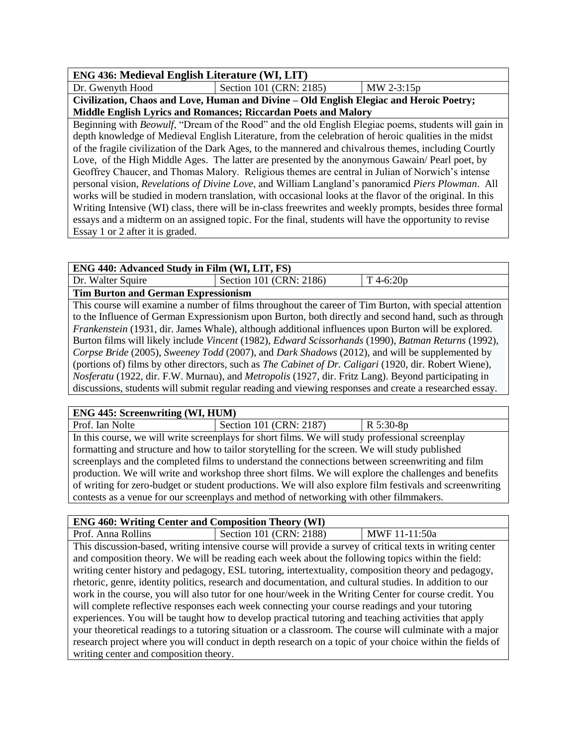### **ENG 436: Medieval English Literature (WI, LIT)**

Dr. Gwenyth Hood Section 101 (CRN: 2185) MW 2-3:15p

**Civilization, Chaos and Love, Human and Divine – Old English Elegiac and Heroic Poetry; Middle English Lyrics and Romances; Riccardan Poets and Malory**

Beginning with *Beowulf*, "Dream of the Rood" and the old English Elegiac poems, students will gain in depth knowledge of Medieval English Literature, from the celebration of heroic qualities in the midst of the fragile civilization of the Dark Ages, to the mannered and chivalrous themes, including Courtly Love, of the High Middle Ages. The latter are presented by the anonymous Gawain/ Pearl poet, by Geoffrey Chaucer, and Thomas Malory. Religious themes are central in Julian of Norwich's intense personal vision, *Revelations of Divine Love*, and William Langland's panoramicd *Piers Plowman*. All works will be studied in modern translation, with occasional looks at the flavor of the original. In this Writing Intensive (WI) class, there will be in-class freewrites and weekly prompts, besides three formal essays and a midterm on an assigned topic. For the final, students will have the opportunity to revise Essay 1 or 2 after it is graded.

#### **ENG 440: Advanced Study in Film (WI, LIT, FS)**

Dr. Walter Squire Section 101 (CRN: 2186)  $\boxed{7\ 4-6:20p}$ 

**Tim Burton and German Expressionism**

 This course will examine a number of films throughout the career of Tim Burton, with special attention to the Influence of German Expressionism upon Burton, both directly and second hand, such as through *Frankenstein* (1931, dir. James Whale), although additional influences upon Burton will be explored. Burton films will likely include *Vincent* (1982), *Edward Scissorhands* (1990), *Batman Returns* (1992), *Corpse Bride* (2005), *Sweeney Todd* (2007), and *Dark Shadows* (2012), and will be supplemented by (portions of) films by other directors, such as *The Cabinet of Dr. Caligari* (1920, dir. Robert Wiene), *Nosferatu* (1922, dir. F.W. Murnau), and *Metropolis* (1927, dir. Fritz Lang). Beyond participating in discussions, students will submit regular reading and viewing responses and create a researched essay.

#### **ENG 445: Screenwriting (WI, HUM)**

Prof. Ian Nolte Section 101 (CRN: 2187)  $\begin{array}{|l|l|}\n\hline\n\end{array}$  R 5:30-8p In this course, we will write screenplays for short films. We will study professional screenplay formatting and structure and how to tailor storytelling for the screen. We will study published screenplays and the completed films to understand the connections between screenwriting and film production. We will write and workshop three short films. We will explore the challenges and benefits of writing for zero-budget or student productions. We will also explore film festivals and screenwriting contests as a venue for our screenplays and method of networking with other filmmakers.

## **ENG 460: Writing Center and Composition Theory (WI)** Prof. Anna Rollins Section 101 (CRN: 2188) MWF 11-11:50a This discussion-based, writing intensive course will provide a survey of critical texts in writing center and composition theory. We will be reading each week about the following topics within the field: writing center history and pedagogy, ESL tutoring, intertextuality, composition theory and pedagogy, rhetoric, genre, identity politics, research and documentation, and cultural studies. In addition to our work in the course, you will also tutor for one hour/week in the Writing Center for course credit. You will complete reflective responses each week connecting your course readings and your tutoring experiences. You will be taught how to develop practical tutoring and teaching activities that apply your theoretical readings to a tutoring situation or a classroom. The course will culminate with a major research project where you will conduct in depth research on a topic of your choice within the fields of writing center and composition theory.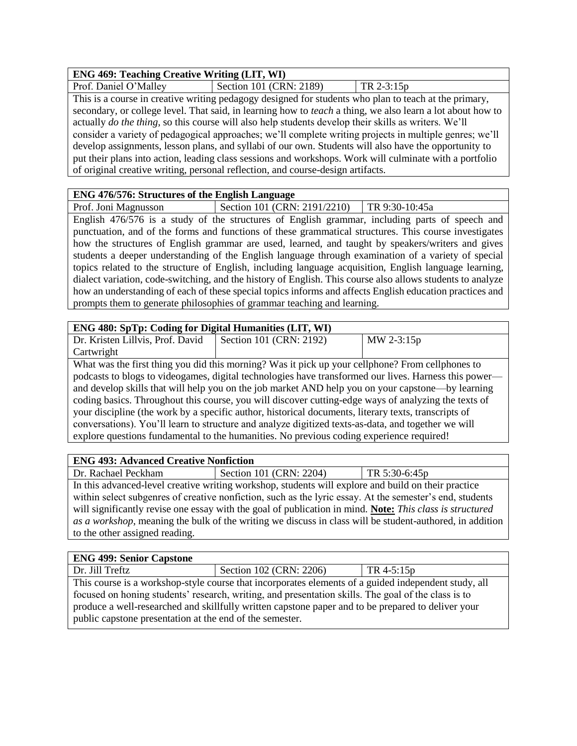#### **ENG 469: Teaching Creative Writing (LIT, WI)**

Prof. Daniel O'Malley Section 101 (CRN: 2189) TR 2-3:15p This is a course in creative writing pedagogy designed for students who plan to teach at the primary, secondary, or college level. That said, in learning how to *teach* a thing, we also learn a lot about how to actually *do the thing*, so this course will also help students develop their skills as writers. We'll consider a variety of pedagogical approaches; we'll complete writing projects in multiple genres; we'll develop assignments, lesson plans, and syllabi of our own. Students will also have the opportunity to put their plans into action, leading class sessions and workshops. Work will culminate with a portfolio of original creative writing, personal reflection, and course-design artifacts.

#### **ENG 476/576: Structures of the English Language**

Prof. Joni Magnusson | Section 101 (CRN: 2191/2210) | TR 9:30-10:45a

English 476/576 is a study of the structures of English grammar, including parts of speech and punctuation, and of the forms and functions of these grammatical structures. This course investigates how the structures of English grammar are used, learned, and taught by speakers/writers and gives students a deeper understanding of the English language through examination of a variety of special topics related to the structure of English, including language acquisition, English language learning, dialect variation, code-switching, and the history of English. This course also allows students to analyze how an understanding of each of these special topics informs and affects English education practices and prompts them to generate philosophies of grammar teaching and learning.

| <b>ENG 480: SpTp: Coding for Digital Humanities (LIT, WI)</b>                                         |                         |            |
|-------------------------------------------------------------------------------------------------------|-------------------------|------------|
| Dr. Kristen Lillvis, Prof. David                                                                      | Section 101 (CRN: 2192) | MW 2-3:15p |
| Cartwright                                                                                            |                         |            |
| What was the first thing you did this morning? Was it pick up your cellphone? From cellphones to      |                         |            |
| podcasts to blogs to videogames, digital technologies have transformed our lives. Harness this power— |                         |            |
| and develop skills that will help you on the job market AND help you on your capstone—by learning     |                         |            |
| coding basics. Throughout this course, you will discover cutting-edge ways of analyzing the texts of  |                         |            |
| your discipline (the work by a specific author, historical documents, literary texts, transcripts of  |                         |            |
| conversations). You'll learn to structure and analyze digitized texts-as-data, and together we will   |                         |            |

explore questions fundamental to the humanities. No previous coding experience required!

| <b>ENG 493: Advanced Creative Nonfiction</b>                                                             |                                                                                                     |               |
|----------------------------------------------------------------------------------------------------------|-----------------------------------------------------------------------------------------------------|---------------|
| Dr. Rachael Peckham                                                                                      | Section 101 (CRN: 2204)                                                                             | TR 5:30-6:45p |
|                                                                                                          | In this advanced-level creative writing workshop, students will explore and build on their practice |               |
| within select subgenres of creative nonfiction, such as the lyric essay. At the semester's end, students |                                                                                                     |               |
| will significantly revise one essay with the goal of publication in mind. Note: This class is structured |                                                                                                     |               |
| as a workshop, meaning the bulk of the writing we discuss in class will be student-authored, in addition |                                                                                                     |               |
| to the other assigned reading.                                                                           |                                                                                                     |               |
|                                                                                                          |                                                                                                     |               |

| <b>ENG 499: Senior Capstone</b>                                                                      |                         |            |
|------------------------------------------------------------------------------------------------------|-------------------------|------------|
| Dr. Jill Treftz                                                                                      | Section 102 (CRN: 2206) | TR 4-5:15p |
| This course is a workshop-style course that incorporates elements of a guided independent study, all |                         |            |
| focused on honing students' research, writing, and presentation skills. The goal of the class is to  |                         |            |
| produce a well-researched and skillfully written capstone paper and to be prepared to deliver your   |                         |            |
| public capstone presentation at the end of the semester.                                             |                         |            |